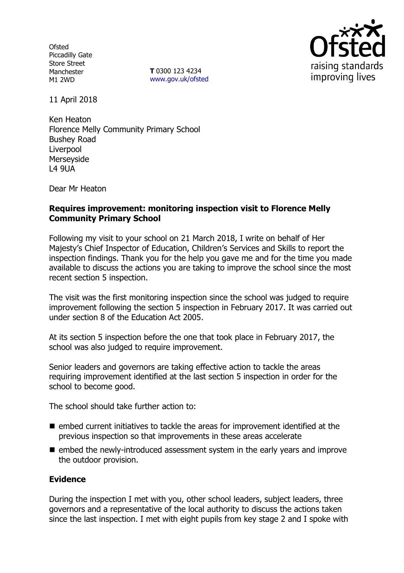**Ofsted** Piccadilly Gate Store Street Manchester M1 2WD

**T** 0300 123 4234 www.gov.uk/ofsted



11 April 2018

Ken Heaton Florence Melly Community Primary School Bushey Road Liverpool Merseyside L4 9UA

Dear Mr Heaton

# **Requires improvement: monitoring inspection visit to Florence Melly Community Primary School**

Following my visit to your school on 21 March 2018, I write on behalf of Her Majesty's Chief Inspector of Education, Children's Services and Skills to report the inspection findings. Thank you for the help you gave me and for the time you made available to discuss the actions you are taking to improve the school since the most recent section 5 inspection.

The visit was the first monitoring inspection since the school was judged to require improvement following the section 5 inspection in February 2017. It was carried out under section 8 of the Education Act 2005.

At its section 5 inspection before the one that took place in February 2017, the school was also judged to require improvement.

Senior leaders and governors are taking effective action to tackle the areas requiring improvement identified at the last section 5 inspection in order for the school to become good.

The school should take further action to:

- $\blacksquare$  embed current initiatives to tackle the areas for improvement identified at the previous inspection so that improvements in these areas accelerate
- embed the newly-introduced assessment system in the early years and improve the outdoor provision.

# **Evidence**

During the inspection I met with you, other school leaders, subject leaders, three governors and a representative of the local authority to discuss the actions taken since the last inspection. I met with eight pupils from key stage 2 and I spoke with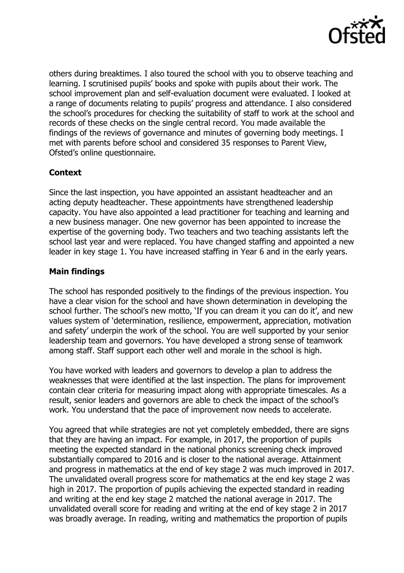

others during breaktimes. I also toured the school with you to observe teaching and learning. I scrutinised pupils' books and spoke with pupils about their work. The school improvement plan and self-evaluation document were evaluated. I looked at a range of documents relating to pupils' progress and attendance. I also considered the school's procedures for checking the suitability of staff to work at the school and records of these checks on the single central record. You made available the findings of the reviews of governance and minutes of governing body meetings. I met with parents before school and considered 35 responses to Parent View, Ofsted's online questionnaire.

# **Context**

Since the last inspection, you have appointed an assistant headteacher and an acting deputy headteacher. These appointments have strengthened leadership capacity. You have also appointed a lead practitioner for teaching and learning and a new business manager. One new governor has been appointed to increase the expertise of the governing body. Two teachers and two teaching assistants left the school last year and were replaced. You have changed staffing and appointed a new leader in key stage 1. You have increased staffing in Year 6 and in the early years.

# **Main findings**

The school has responded positively to the findings of the previous inspection. You have a clear vision for the school and have shown determination in developing the school further. The school's new motto, 'If you can dream it you can do it', and new values system of 'determination, resilience, empowerment, appreciation, motivation and safety' underpin the work of the school. You are well supported by your senior leadership team and governors. You have developed a strong sense of teamwork among staff. Staff support each other well and morale in the school is high.

You have worked with leaders and governors to develop a plan to address the weaknesses that were identified at the last inspection. The plans for improvement contain clear criteria for measuring impact along with appropriate timescales. As a result, senior leaders and governors are able to check the impact of the school's work. You understand that the pace of improvement now needs to accelerate.

You agreed that while strategies are not yet completely embedded, there are signs that they are having an impact. For example, in 2017, the proportion of pupils meeting the expected standard in the national phonics screening check improved substantially compared to 2016 and is closer to the national average. Attainment and progress in mathematics at the end of key stage 2 was much improved in 2017. The unvalidated overall progress score for mathematics at the end key stage 2 was high in 2017. The proportion of pupils achieving the expected standard in reading and writing at the end key stage 2 matched the national average in 2017. The unvalidated overall score for reading and writing at the end of key stage 2 in 2017 was broadly average. In reading, writing and mathematics the proportion of pupils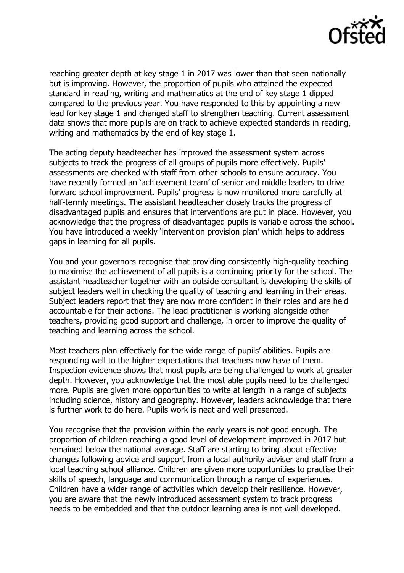

reaching greater depth at key stage 1 in 2017 was lower than that seen nationally but is improving. However, the proportion of pupils who attained the expected standard in reading, writing and mathematics at the end of key stage 1 dipped compared to the previous year. You have responded to this by appointing a new lead for key stage 1 and changed staff to strengthen teaching. Current assessment data shows that more pupils are on track to achieve expected standards in reading, writing and mathematics by the end of key stage 1.

The acting deputy headteacher has improved the assessment system across subjects to track the progress of all groups of pupils more effectively. Pupils' assessments are checked with staff from other schools to ensure accuracy. You have recently formed an 'achievement team' of senior and middle leaders to drive forward school improvement. Pupils' progress is now monitored more carefully at half-termly meetings. The assistant headteacher closely tracks the progress of disadvantaged pupils and ensures that interventions are put in place. However, you acknowledge that the progress of disadvantaged pupils is variable across the school. You have introduced a weekly 'intervention provision plan' which helps to address gaps in learning for all pupils.

You and your governors recognise that providing consistently high-quality teaching to maximise the achievement of all pupils is a continuing priority for the school. The assistant headteacher together with an outside consultant is developing the skills of subject leaders well in checking the quality of teaching and learning in their areas. Subject leaders report that they are now more confident in their roles and are held accountable for their actions. The lead practitioner is working alongside other teachers, providing good support and challenge, in order to improve the quality of teaching and learning across the school.

Most teachers plan effectively for the wide range of pupils' abilities. Pupils are responding well to the higher expectations that teachers now have of them. Inspection evidence shows that most pupils are being challenged to work at greater depth. However, you acknowledge that the most able pupils need to be challenged more. Pupils are given more opportunities to write at length in a range of subjects including science, history and geography. However, leaders acknowledge that there is further work to do here. Pupils work is neat and well presented.

You recognise that the provision within the early years is not good enough. The proportion of children reaching a good level of development improved in 2017 but remained below the national average. Staff are starting to bring about effective changes following advice and support from a local authority adviser and staff from a local teaching school alliance. Children are given more opportunities to practise their skills of speech, language and communication through a range of experiences. Children have a wider range of activities which develop their resilience. However, you are aware that the newly introduced assessment system to track progress needs to be embedded and that the outdoor learning area is not well developed.